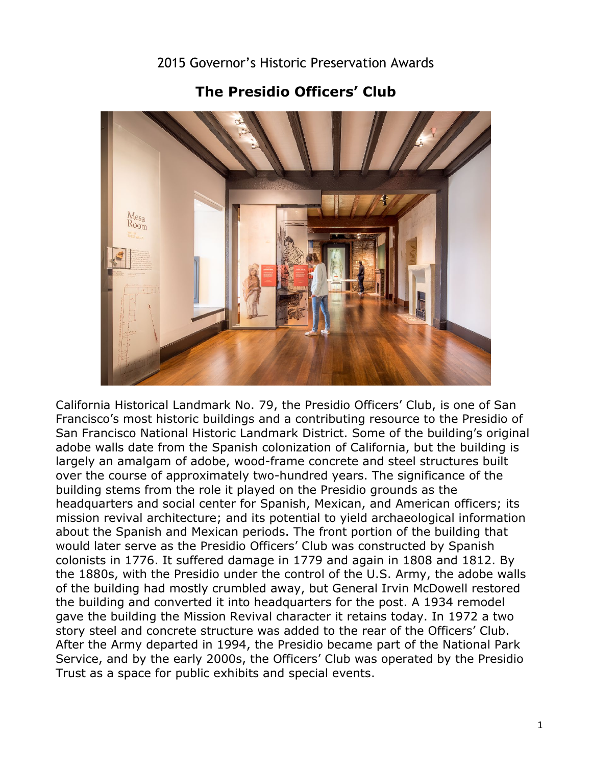

**The Presidio Officers' Club** 

 would later serve as the Presidio Officers' Club was constructed by Spanish of the building had mostly crumbled away, but General Irvin McDowell restored California Historical Landmark No. 79, the Presidio Officers' Club, is one of San Francisco's most historic buildings and a contributing resource to the Presidio of San Francisco National Historic Landmark District. Some of the building's original adobe walls date from the Spanish colonization of California, but the building is largely an amalgam of adobe, wood-frame concrete and steel structures built over the course of approximately two-hundred years. The significance of the building stems from the role it played on the Presidio grounds as the headquarters and social center for Spanish, Mexican, and American officers; its mission revival architecture; and its potential to yield archaeological information about the Spanish and Mexican periods. The front portion of the building that colonists in 1776. It suffered damage in 1779 and again in 1808 and 1812. By the 1880s, with the Presidio under the control of the U.S. Army, the adobe walls the building and converted it into headquarters for the post. A 1934 remodel gave the building the Mission Revival character it retains today. In 1972 a two story steel and concrete structure was added to the rear of the Officers' Club. After the Army departed in 1994, the Presidio became part of the National Park Service, and by the early 2000s, the Officers' Club was operated by the Presidio Trust as a space for public exhibits and special events.